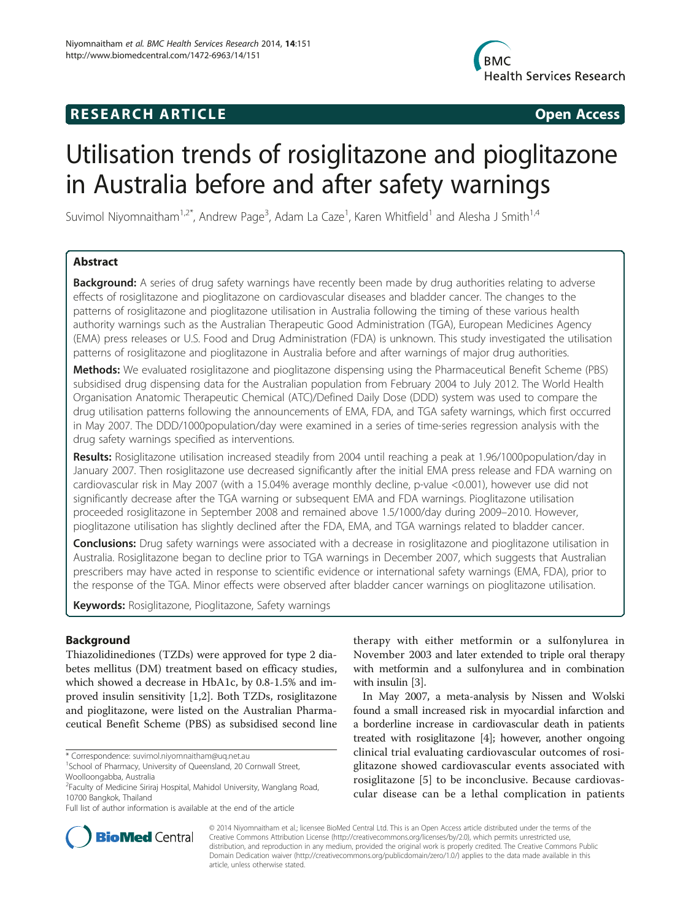# **RESEARCH ARTICLE Example 2014 CONSIDERING CONSIDERING CONSIDERING CONSIDERING CONSIDERING CONSIDERING CONSIDERING CONSIDERING CONSIDERING CONSIDERING CONSIDERING CONSIDERING CONSIDERING CONSIDERING CONSIDERING CONSIDE**



# Utilisation trends of rosiglitazone and pioglitazone in Australia before and after safety warnings

Suvimol Niyomnaitham $^{1,2^*}$ , Andrew Page<sup>3</sup>, Adam La Caze<sup>1</sup>, Karen Whitfield<sup>1</sup> and Alesha J Smith $^{1,4}$ 

# Abstract

Background: A series of drug safety warnings have recently been made by drug authorities relating to adverse effects of rosiglitazone and pioglitazone on cardiovascular diseases and bladder cancer. The changes to the patterns of rosiglitazone and pioglitazone utilisation in Australia following the timing of these various health authority warnings such as the Australian Therapeutic Good Administration (TGA), European Medicines Agency (EMA) press releases or U.S. Food and Drug Administration (FDA) is unknown. This study investigated the utilisation patterns of rosiglitazone and pioglitazone in Australia before and after warnings of major drug authorities.

Methods: We evaluated rosiglitazone and pioglitazone dispensing using the Pharmaceutical Benefit Scheme (PBS) subsidised drug dispensing data for the Australian population from February 2004 to July 2012. The World Health Organisation Anatomic Therapeutic Chemical (ATC)/Defined Daily Dose (DDD) system was used to compare the drug utilisation patterns following the announcements of EMA, FDA, and TGA safety warnings, which first occurred in May 2007. The DDD/1000population/day were examined in a series of time-series regression analysis with the drug safety warnings specified as interventions.

Results: Rosiglitazone utilisation increased steadily from 2004 until reaching a peak at 1.96/1000population/day in January 2007. Then rosiglitazone use decreased significantly after the initial EMA press release and FDA warning on cardiovascular risk in May 2007 (with a 15.04% average monthly decline, p-value <0.001), however use did not significantly decrease after the TGA warning or subsequent EMA and FDA warnings. Pioglitazone utilisation proceeded rosiglitazone in September 2008 and remained above 1.5/1000/day during 2009–2010. However, pioglitazone utilisation has slightly declined after the FDA, EMA, and TGA warnings related to bladder cancer.

**Conclusions:** Drug safety warnings were associated with a decrease in rosiglitazone and pioglitazone utilisation in Australia. Rosiglitazone began to decline prior to TGA warnings in December 2007, which suggests that Australian prescribers may have acted in response to scientific evidence or international safety warnings (EMA, FDA), prior to the response of the TGA. Minor effects were observed after bladder cancer warnings on pioglitazone utilisation.

Keywords: Rosiglitazone, Pioglitazone, Safety warnings

# Background

Thiazolidinediones (TZDs) were approved for type 2 diabetes mellitus (DM) treatment based on efficacy studies, which showed a decrease in HbA1c, by 0.8-1.5% and improved insulin sensitivity [\[1,2](#page-5-0)]. Both TZDs, rosiglitazone and pioglitazone, were listed on the Australian Pharmaceutical Benefit Scheme (PBS) as subsidised second line

therapy with either metformin or a sulfonylurea in November 2003 and later extended to triple oral therapy with metformin and a sulfonylurea and in combination with insulin [[3](#page-5-0)].

In May 2007, a meta-analysis by Nissen and Wolski found a small increased risk in myocardial infarction and a borderline increase in cardiovascular death in patients treated with rosiglitazone [\[4\]](#page-5-0); however, another ongoing clinical trial evaluating cardiovascular outcomes of rosiglitazone showed cardiovascular events associated with rosiglitazone [[5\]](#page-5-0) to be inconclusive. Because cardiovascular disease can be a lethal complication in patients



© 2014 Niyomnaitham et al.; licensee BioMed Central Ltd. This is an Open Access article distributed under the terms of the Creative Commons Attribution License (<http://creativecommons.org/licenses/by/2.0>), which permits unrestricted use, distribution, and reproduction in any medium, provided the original work is properly credited. The Creative Commons Public Domain Dedication waiver [\(http://creativecommons.org/publicdomain/zero/1.0/\)](http://creativecommons.org/publicdomain/zero/1.0/) applies to the data made available in this article, unless otherwise stated.

<sup>\*</sup> Correspondence: [suvimol.niyomnaitham@uq.net.au](mailto:suvimol.niyomnaitham@uq.net.au) <sup>1</sup>

<sup>&</sup>lt;sup>1</sup> School of Pharmacy, University of Queensland, 20 Cornwall Street, Woolloongabba, Australia

<sup>&</sup>lt;sup>2</sup> Faculty of Medicine Siriraj Hospital, Mahidol University, Wanglang Road, 10700 Bangkok, Thailand

Full list of author information is available at the end of the article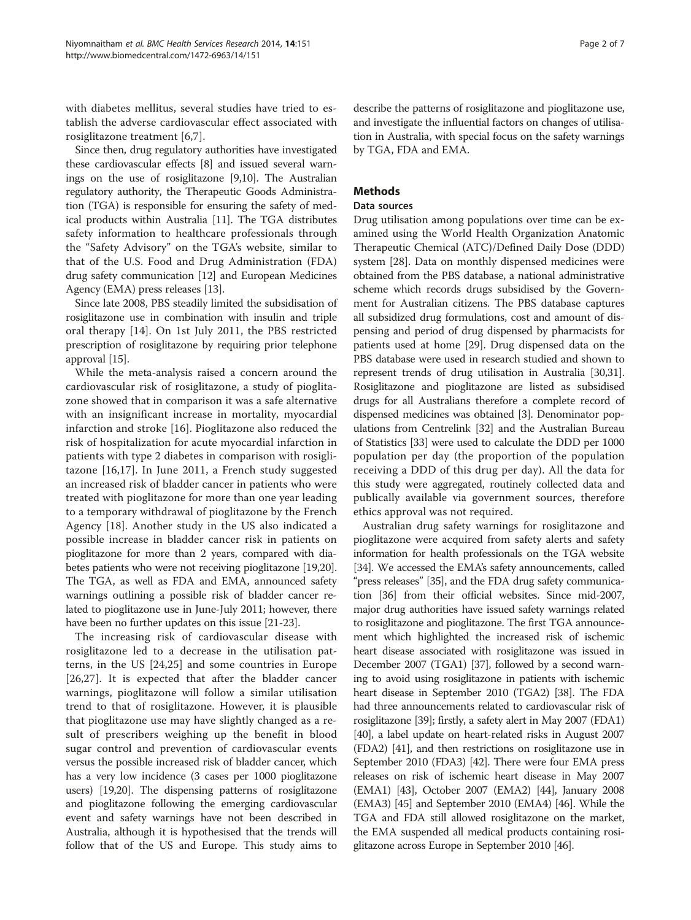with diabetes mellitus, several studies have tried to establish the adverse cardiovascular effect associated with rosiglitazone treatment [\[6,7](#page-5-0)].

Since then, drug regulatory authorities have investigated these cardiovascular effects [[8\]](#page-5-0) and issued several warnings on the use of rosiglitazone [\[9,10\]](#page-5-0). The Australian regulatory authority, the Therapeutic Goods Administration (TGA) is responsible for ensuring the safety of medical products within Australia [\[11\]](#page-5-0). The TGA distributes safety information to healthcare professionals through the "Safety Advisory" on the TGA's website, similar to that of the U.S. Food and Drug Administration (FDA) drug safety communication [[12](#page-5-0)] and European Medicines Agency (EMA) press releases [[13\]](#page-5-0).

Since late 2008, PBS steadily limited the subsidisation of rosiglitazone use in combination with insulin and triple oral therapy [\[14](#page-5-0)]. On 1st July 2011, the PBS restricted prescription of rosiglitazone by requiring prior telephone approval [[15](#page-5-0)].

While the meta-analysis raised a concern around the cardiovascular risk of rosiglitazone, a study of pioglitazone showed that in comparison it was a safe alternative with an insignificant increase in mortality, myocardial infarction and stroke [[16](#page-5-0)]. Pioglitazone also reduced the risk of hospitalization for acute myocardial infarction in patients with type 2 diabetes in comparison with rosiglitazone [[16,17](#page-5-0)]. In June 2011, a French study suggested an increased risk of bladder cancer in patients who were treated with pioglitazone for more than one year leading to a temporary withdrawal of pioglitazone by the French Agency [[18\]](#page-5-0). Another study in the US also indicated a possible increase in bladder cancer risk in patients on pioglitazone for more than 2 years, compared with diabetes patients who were not receiving pioglitazone [\[19,20](#page-5-0)]. The TGA, as well as FDA and EMA, announced safety warnings outlining a possible risk of bladder cancer related to pioglitazone use in June-July 2011; however, there have been no further updates on this issue [\[21-23\]](#page-5-0).

The increasing risk of cardiovascular disease with rosiglitazone led to a decrease in the utilisation patterns, in the US [\[24,25](#page-5-0)] and some countries in Europe [[26,27](#page-5-0)]. It is expected that after the bladder cancer warnings, pioglitazone will follow a similar utilisation trend to that of rosiglitazone. However, it is plausible that pioglitazone use may have slightly changed as a result of prescribers weighing up the benefit in blood sugar control and prevention of cardiovascular events versus the possible increased risk of bladder cancer, which has a very low incidence (3 cases per 1000 pioglitazone users) [[19,20](#page-5-0)]. The dispensing patterns of rosiglitazone and pioglitazone following the emerging cardiovascular event and safety warnings have not been described in Australia, although it is hypothesised that the trends will follow that of the US and Europe. This study aims to describe the patterns of rosiglitazone and pioglitazone use, and investigate the influential factors on changes of utilisation in Australia, with special focus on the safety warnings by TGA, FDA and EMA.

# **Methods**

## Data sources

Drug utilisation among populations over time can be examined using the World Health Organization Anatomic Therapeutic Chemical (ATC)/Defined Daily Dose (DDD) system [\[28\]](#page-5-0). Data on monthly dispensed medicines were obtained from the PBS database, a national administrative scheme which records drugs subsidised by the Government for Australian citizens. The PBS database captures all subsidized drug formulations, cost and amount of dispensing and period of drug dispensed by pharmacists for patients used at home [\[29\]](#page-5-0). Drug dispensed data on the PBS database were used in research studied and shown to represent trends of drug utilisation in Australia [\[30,31](#page-6-0)]. Rosiglitazone and pioglitazone are listed as subsidised drugs for all Australians therefore a complete record of dispensed medicines was obtained [[3](#page-5-0)]. Denominator populations from Centrelink [[32\]](#page-6-0) and the Australian Bureau of Statistics [\[33](#page-6-0)] were used to calculate the DDD per 1000 population per day (the proportion of the population receiving a DDD of this drug per day). All the data for this study were aggregated, routinely collected data and publically available via government sources, therefore ethics approval was not required.

Australian drug safety warnings for rosiglitazone and pioglitazone were acquired from safety alerts and safety information for health professionals on the TGA website [[34](#page-6-0)]. We accessed the EMA's safety announcements, called "press releases" [[35](#page-6-0)], and the FDA drug safety communication [[36](#page-6-0)] from their official websites. Since mid-2007, major drug authorities have issued safety warnings related to rosiglitazone and pioglitazone. The first TGA announcement which highlighted the increased risk of ischemic heart disease associated with rosiglitazone was issued in December 2007 (TGA1) [\[37](#page-6-0)], followed by a second warning to avoid using rosiglitazone in patients with ischemic heart disease in September 2010 (TGA2) [\[38\]](#page-6-0). The FDA had three announcements related to cardiovascular risk of rosiglitazone [\[39\]](#page-6-0); firstly, a safety alert in May 2007 (FDA1) [[40](#page-6-0)], a label update on heart-related risks in August 2007 (FDA2) [\[41](#page-6-0)], and then restrictions on rosiglitazone use in September 2010 (FDA3) [[42](#page-6-0)]. There were four EMA press releases on risk of ischemic heart disease in May 2007 (EMA1) [\[43](#page-6-0)], October 2007 (EMA2) [[44](#page-6-0)], January 2008 (EMA3) [\[45\]](#page-6-0) and September 2010 (EMA4) [[46](#page-6-0)]. While the TGA and FDA still allowed rosiglitazone on the market, the EMA suspended all medical products containing rosiglitazone across Europe in September 2010 [\[46\]](#page-6-0).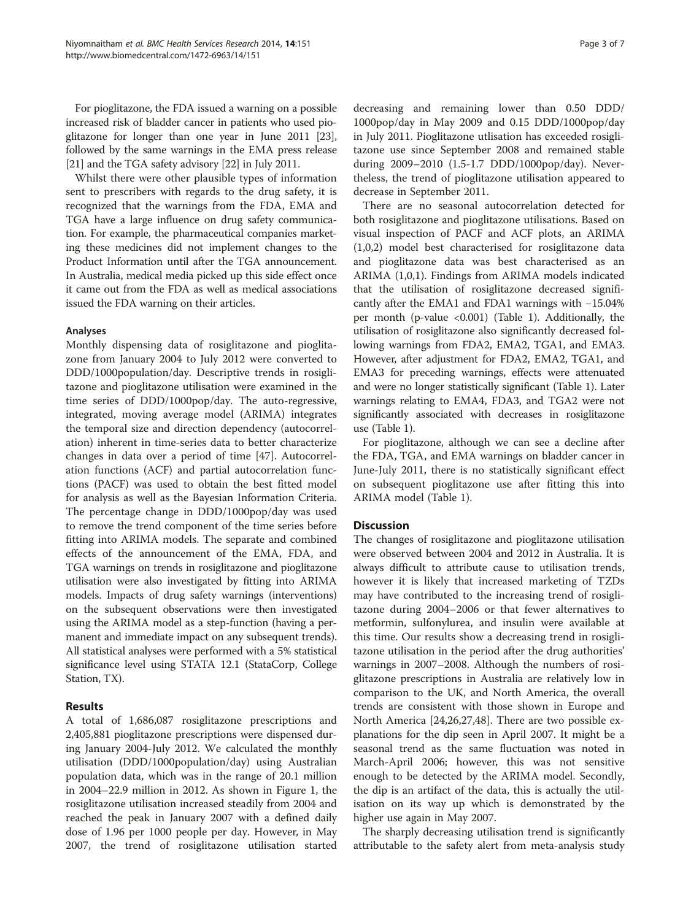For pioglitazone, the FDA issued a warning on a possible increased risk of bladder cancer in patients who used pioglitazone for longer than one year in June 2011 [[23](#page-5-0)], followed by the same warnings in the EMA press release [[21](#page-5-0)] and the TGA safety advisory [\[22\]](#page-5-0) in July 2011.

Whilst there were other plausible types of information sent to prescribers with regards to the drug safety, it is recognized that the warnings from the FDA, EMA and TGA have a large influence on drug safety communication. For example, the pharmaceutical companies marketing these medicines did not implement changes to the Product Information until after the TGA announcement. In Australia, medical media picked up this side effect once it came out from the FDA as well as medical associations issued the FDA warning on their articles.

# Analyses

Monthly dispensing data of rosiglitazone and pioglitazone from January 2004 to July 2012 were converted to DDD/1000population/day. Descriptive trends in rosiglitazone and pioglitazone utilisation were examined in the time series of DDD/1000pop/day. The auto-regressive, integrated, moving average model (ARIMA) integrates the temporal size and direction dependency (autocorrelation) inherent in time-series data to better characterize changes in data over a period of time [[47](#page-6-0)]. Autocorrelation functions (ACF) and partial autocorrelation functions (PACF) was used to obtain the best fitted model for analysis as well as the Bayesian Information Criteria. The percentage change in DDD/1000pop/day was used to remove the trend component of the time series before fitting into ARIMA models. The separate and combined effects of the announcement of the EMA, FDA, and TGA warnings on trends in rosiglitazone and pioglitazone utilisation were also investigated by fitting into ARIMA models. Impacts of drug safety warnings (interventions) on the subsequent observations were then investigated using the ARIMA model as a step-function (having a permanent and immediate impact on any subsequent trends). All statistical analyses were performed with a 5% statistical significance level using STATA 12.1 (StataCorp, College Station, TX).

# Results

A total of 1,686,087 rosiglitazone prescriptions and 2,405,881 pioglitazone prescriptions were dispensed during January 2004-July 2012. We calculated the monthly utilisation (DDD/1000population/day) using Australian population data, which was in the range of 20.1 million in 2004–22.9 million in 2012. As shown in Figure [1](#page-3-0), the rosiglitazone utilisation increased steadily from 2004 and reached the peak in January 2007 with a defined daily dose of 1.96 per 1000 people per day. However, in May 2007, the trend of rosiglitazone utilisation started

decreasing and remaining lower than 0.50 DDD/ 1000pop/day in May 2009 and 0.15 DDD/1000pop/day in July 2011. Pioglitazone utlisation has exceeded rosiglitazone use since September 2008 and remained stable during 2009–2010 (1.5-1.7 DDD/1000pop/day). Nevertheless, the trend of pioglitazone utilisation appeared to decrease in September 2011.

There are no seasonal autocorrelation detected for both rosiglitazone and pioglitazone utilisations. Based on visual inspection of PACF and ACF plots, an ARIMA (1,0,2) model best characterised for rosiglitazone data and pioglitazone data was best characterised as an ARIMA (1,0,1). Findings from ARIMA models indicated that the utilisation of rosiglitazone decreased significantly after the EMA1 and FDA1 warnings with −15.04% per month (p-value <0.001) (Table [1](#page-3-0)). Additionally, the utilisation of rosiglitazone also significantly decreased following warnings from FDA2, EMA2, TGA1, and EMA3. However, after adjustment for FDA2, EMA2, TGA1, and EMA3 for preceding warnings, effects were attenuated and were no longer statistically significant (Table [1](#page-3-0)). Later warnings relating to EMA4, FDA3, and TGA2 were not significantly associated with decreases in rosiglitazone use (Table [1\)](#page-3-0).

For pioglitazone, although we can see a decline after the FDA, TGA, and EMA warnings on bladder cancer in June-July 2011, there is no statistically significant effect on subsequent pioglitazone use after fitting this into ARIMA model (Table [1\)](#page-3-0).

# **Discussion**

The changes of rosiglitazone and pioglitazone utilisation were observed between 2004 and 2012 in Australia. It is always difficult to attribute cause to utilisation trends, however it is likely that increased marketing of TZDs may have contributed to the increasing trend of rosiglitazone during 2004–2006 or that fewer alternatives to metformin, sulfonylurea, and insulin were available at this time. Our results show a decreasing trend in rosiglitazone utilisation in the period after the drug authorities' warnings in 2007–2008. Although the numbers of rosiglitazone prescriptions in Australia are relatively low in comparison to the UK, and North America, the overall trends are consistent with those shown in Europe and North America [[24,26,27,](#page-5-0)[48\]](#page-6-0). There are two possible explanations for the dip seen in April 2007. It might be a seasonal trend as the same fluctuation was noted in March-April 2006; however, this was not sensitive enough to be detected by the ARIMA model. Secondly, the dip is an artifact of the data, this is actually the utilisation on its way up which is demonstrated by the higher use again in May 2007.

The sharply decreasing utilisation trend is significantly attributable to the safety alert from meta-analysis study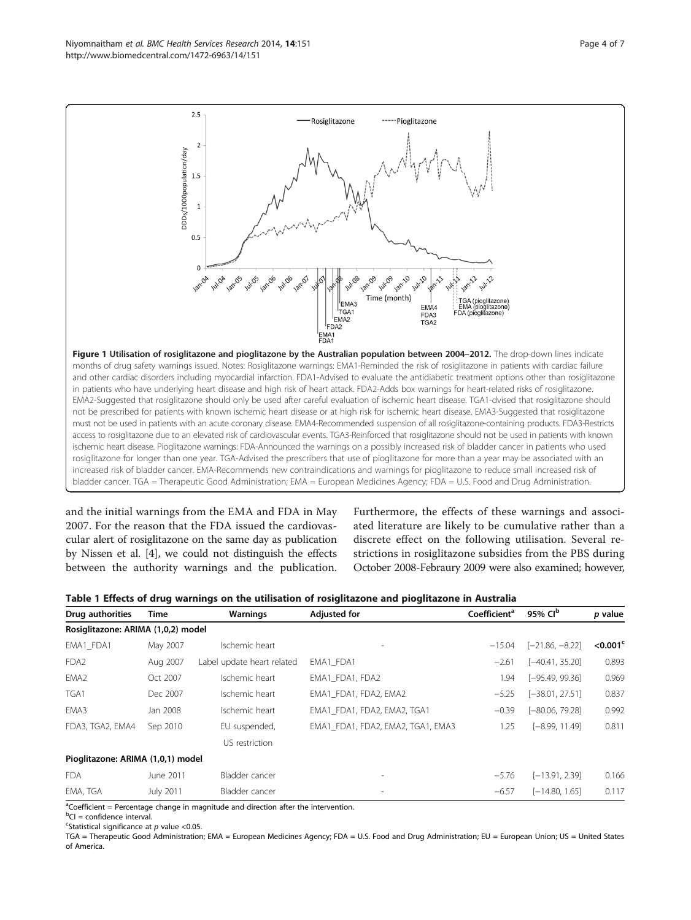2007. For the reason that the FDA issued the cardiovascular alert of rosiglitazone on the same day as publication by Nissen et al. [\[4](#page-5-0)], we could not distinguish the effects between the authority warnings and the publication.

Furthermore, the effects of these warnings and associated literature are likely to be cumulative rather than a discrete effect on the following utilisation. Several restrictions in rosiglitazone subsidies from the PBS during October 2008-Febraury 2009 were also examined; however,



| Table 1 Effects of drug warnings on the utilisation of rosiglitazone and pioglitazone in Australia |  |
|----------------------------------------------------------------------------------------------------|--|

| Drug authorities                   | Time      | <b>Warnings</b>            | <b>Adjusted for</b>               | Coefficient <sup>a</sup> | 95% CI <sup>b</sup> | $p$ value     |
|------------------------------------|-----------|----------------------------|-----------------------------------|--------------------------|---------------------|---------------|
| Rosiglitazone: ARIMA (1,0,2) model |           |                            |                                   |                          |                     |               |
| EMA1 FDA1                          | May 2007  | Ischemic heart             |                                   | $-15.04$                 | $[-21.86, -8.22]$   | $<$ 0.001 $<$ |
| FDA <sub>2</sub>                   | Aug 2007  | Label update heart related | EMA1 FDA1                         | $-2.61$                  | $[-40.41, 35.20]$   | 0.893         |
| EMA <sub>2</sub>                   | Oct 2007  | Ischemic heart             | EMA1 FDA1, FDA2                   | 1.94                     | $[-95.49, 99.36]$   | 0.969         |
| TGA1                               | Dec 2007  | Ischemic heart             | EMA1 FDA1, FDA2, EMA2             | $-5.25$                  | $[-38.01, 27.51]$   | 0.837         |
| EMA3                               | Jan 2008  | Ischemic heart             | EMA1 FDA1, FDA2, EMA2, TGA1       | $-0.39$                  | $[-80.06, 79.28]$   | 0.992         |
| FDA3, TGA2, EMA4                   | Sep 2010  | EU suspended,              | EMA1 FDA1, FDA2, EMA2, TGA1, EMA3 | 1.25                     | $[-8.99, 11.49]$    | 0.811         |
|                                    |           | US restriction             |                                   |                          |                     |               |
| Pioglitazone: ARIMA (1,0,1) model  |           |                            |                                   |                          |                     |               |
| <b>FDA</b>                         | June 2011 | Bladder cancer             |                                   | $-5.76$                  | $[-13.91, 2.39]$    | 0.166         |
| EMA, TGA                           | July 2011 | Bladder cancer             |                                   | $-6.57$                  | $[-14.80, 1.65]$    | 0.117         |

<sup>a</sup>Coefficient = Percentage change in magnitude and direction after the intervention.

<sup>b</sup>Cl = confidence interval.

<sup>c</sup>Statistical significance at  $p$  value <0.05.

TGA = Therapeutic Good Administration; EMA = European Medicines Agency; FDA = U.S. Food and Drug Administration; EU = European Union; US = United States of America.

#### <span id="page-3-0"></span>Niyomnaitham et al. BMC Health Services Research 2014, 14:151 **Page 4 of 7** and 2014, 14:151 http://www.biomedcentral.com/1472-6963/14/151



in patients who have underlying heart disease and high risk of heart attack. FDA2-Adds box warnings for heart-related risks of rosiglitazone. EMA2-Suggested that rosiglitazone should only be used after careful evaluation of ischemic heart disease. TGA1-dvised that rosiglitazone should not be prescribed for patients with known ischemic heart disease or at high risk for ischemic heart disease. EMA3-Suggested that rosiglitazone must not be used in patients with an acute coronary disease. EMA4-Recommended suspension of all rosiglitazone-containing products. FDA3-Restricts access to rosiglitazone due to an elevated risk of cardiovascular events. TGA3-Reinforced that rosiglitazone should not be used in patients with known ischemic heart disease. Pioglitazone warnings: FDA-Announced the warnings on a possibly increased risk of bladder cancer in patients who used rosiglitazone for longer than one year. TGA-Advised the prescribers that use of pioglitazone for more than a year may be associated with an increased risk of bladder cancer. EMA-Recommends new contraindications and warnings for pioglitazone to reduce small increased risk of bladder cancer. TGA = Therapeutic Good Administration; EMA = European Medicines Agency; FDA = U.S. Food and Drug Administration.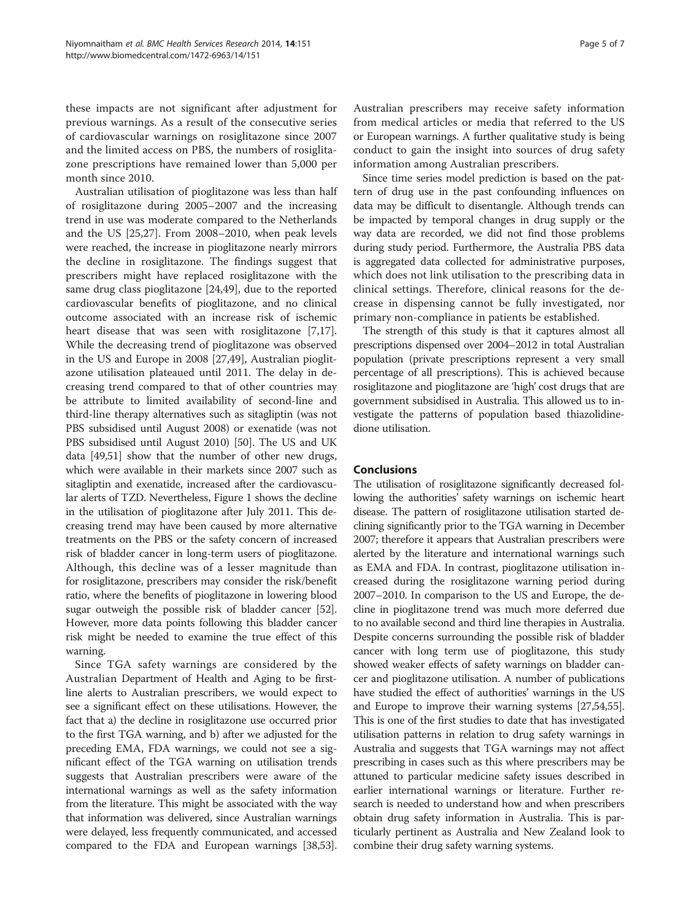these impacts are not significant after adjustment for previous warnings. As a result of the consecutive series of cardiovascular warnings on rosiglitazone since 2007 and the limited access on PBS, the numbers of rosiglitazone prescriptions have remained lower than 5,000 per month since 2010.

Australian utilisation of pioglitazone was less than half of rosiglitazone during 2005–2007 and the increasing trend in use was moderate compared to the Netherlands and the US [[25,27](#page-5-0)]. From 2008–2010, when peak levels were reached, the increase in pioglitazone nearly mirrors the decline in rosiglitazone. The findings suggest that prescribers might have replaced rosiglitazone with the same drug class pioglitazone [\[24](#page-5-0)[,49](#page-6-0)], due to the reported cardiovascular benefits of pioglitazone, and no clinical outcome associated with an increase risk of ischemic heart disease that was seen with rosiglitazone [\[7,17](#page-5-0)]. While the decreasing trend of pioglitazone was observed in the US and Europe in 2008 [[27,](#page-5-0)[49\]](#page-6-0), Australian pioglitazone utilisation plateaued until 2011. The delay in decreasing trend compared to that of other countries may be attribute to limited availability of second-line and third-line therapy alternatives such as sitagliptin (was not PBS subsidised until August 2008) or exenatide (was not PBS subsidised until August 2010) [[50](#page-6-0)]. The US and UK data [[49,51](#page-6-0)] show that the number of other new drugs, which were available in their markets since 2007 such as sitagliptin and exenatide, increased after the cardiovascular alerts of TZD. Nevertheless, Figure [1](#page-3-0) shows the decline in the utilisation of pioglitazone after July 2011. This decreasing trend may have been caused by more alternative treatments on the PBS or the safety concern of increased risk of bladder cancer in long-term users of pioglitazone. Although, this decline was of a lesser magnitude than for rosiglitazone, prescribers may consider the risk/benefit ratio, where the benefits of pioglitazone in lowering blood sugar outweigh the possible risk of bladder cancer [[52](#page-6-0)]. However, more data points following this bladder cancer risk might be needed to examine the true effect of this warning.

Since TGA safety warnings are considered by the Australian Department of Health and Aging to be firstline alerts to Australian prescribers, we would expect to see a significant effect on these utilisations. However, the fact that a) the decline in rosiglitazone use occurred prior to the first TGA warning, and b) after we adjusted for the preceding EMA, FDA warnings, we could not see a significant effect of the TGA warning on utilisation trends suggests that Australian prescribers were aware of the international warnings as well as the safety information from the literature. This might be associated with the way that information was delivered, since Australian warnings were delayed, less frequently communicated, and accessed compared to the FDA and European warnings [\[38,53](#page-6-0)].

Australian prescribers may receive safety information from medical articles or media that referred to the US or European warnings. A further qualitative study is being conduct to gain the insight into sources of drug safety information among Australian prescribers.

Since time series model prediction is based on the pattern of drug use in the past confounding influences on data may be difficult to disentangle. Although trends can be impacted by temporal changes in drug supply or the way data are recorded, we did not find those problems during study period. Furthermore, the Australia PBS data is aggregated data collected for administrative purposes, which does not link utilisation to the prescribing data in clinical settings. Therefore, clinical reasons for the decrease in dispensing cannot be fully investigated, nor primary non-compliance in patients be established.

The strength of this study is that it captures almost all prescriptions dispensed over 2004–2012 in total Australian population (private prescriptions represent a very small percentage of all prescriptions). This is achieved because rosiglitazone and pioglitazone are 'high' cost drugs that are government subsidised in Australia. This allowed us to investigate the patterns of population based thiazolidinedione utilisation.

## Conclusions

The utilisation of rosiglitazone significantly decreased following the authorities' safety warnings on ischemic heart disease. The pattern of rosiglitazone utilisation started declining significantly prior to the TGA warning in December 2007; therefore it appears that Australian prescribers were alerted by the literature and international warnings such as EMA and FDA. In contrast, pioglitazone utilisation increased during the rosiglitazone warning period during 2007–2010. In comparison to the US and Europe, the decline in pioglitazone trend was much more deferred due to no available second and third line therapies in Australia. Despite concerns surrounding the possible risk of bladder cancer with long term use of pioglitazone, this study showed weaker effects of safety warnings on bladder cancer and pioglitazone utilisation. A number of publications have studied the effect of authorities' warnings in the US and Europe to improve their warning systems [\[27](#page-5-0)[,54,55](#page-6-0)]. This is one of the first studies to date that has investigated utilisation patterns in relation to drug safety warnings in Australia and suggests that TGA warnings may not affect prescribing in cases such as this where prescribers may be attuned to particular medicine safety issues described in earlier international warnings or literature. Further research is needed to understand how and when prescribers obtain drug safety information in Australia. This is particularly pertinent as Australia and New Zealand look to combine their drug safety warning systems.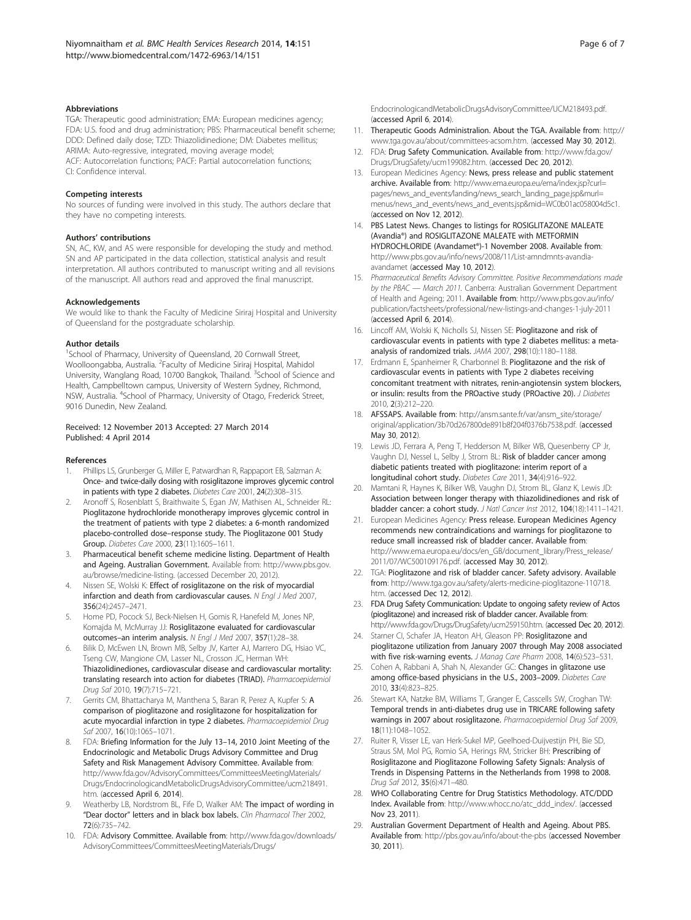#### <span id="page-5-0"></span>**Abbreviations**

TGA: Therapeutic good administration; EMA: European medicines agency; FDA: U.S. food and drug administration; PBS: Pharmaceutical benefit scheme; DDD: Defined daily dose; TZD: Thiazolidinedione; DM: Diabetes mellitus; ARIMA: Auto-regressive, integrated, moving average model; ACF: Autocorrelation functions; PACF: Partial autocorrelation functions; CI: Confidence interval.

#### Competing interests

No sources of funding were involved in this study. The authors declare that they have no competing interests.

#### Authors' contributions

SN, AC, KW, and AS were responsible for developing the study and method. SN and AP participated in the data collection, statistical analysis and result interpretation. All authors contributed to manuscript writing and all revisions of the manuscript. All authors read and approved the final manuscript.

#### Acknowledgements

We would like to thank the Faculty of Medicine Siriraj Hospital and University of Queensland for the postgraduate scholarship.

#### Author details

<sup>1</sup>School of Pharmacy, University of Queensland, 20 Cornwall Street, Woolloongabba, Australia. <sup>2</sup>Faculty of Medicine Siriraj Hospital, Mahidol University, Wanglang Road, 10700 Bangkok, Thailand. <sup>3</sup>School of Science and Health, Campbelltown campus, University of Western Sydney, Richmond, NSW, Australia. <sup>4</sup>School of Pharmacy, University of Otago, Frederick Street, 9016 Dunedin, New Zealand.

#### Received: 12 November 2013 Accepted: 27 March 2014 Published: 4 April 2014

#### References

- 1. Phillips LS, Grunberger G, Miller E, Patwardhan R, Rappaport EB, Salzman A: Once- and twice-daily dosing with rosiglitazone improves glycemic control in patients with type 2 diabetes. Diabetes Care 2001, 24(2):308-315.
- 2. Aronoff S, Rosenblatt S, Braithwaite S, Egan JW, Mathisen AL, Schneider RL: Pioglitazone hydrochloride monotherapy improves glycemic control in the treatment of patients with type 2 diabetes: a 6-month randomized placebo-controlled dose–response study. The Pioglitazone 001 Study Group. Diabetes Care 2000, 23(11):1605–1611.
- 3. Pharmaceutical benefit scheme medicine listing. Department of Health and Ageing. Australian Government. Available from: [http://www.pbs.gov.](http://www.pbs.gov.au/browse/medicine-listing) [au/browse/medicine-listing.](http://www.pbs.gov.au/browse/medicine-listing) (accessed December 20, 2012).
- Nissen SE, Wolski K: Effect of rosiglitazone on the risk of myocardial infarction and death from cardiovascular causes. N Engl J Med 2007, 356(24):2457–2471.
- 5. Home PD, Pocock SJ, Beck-Nielsen H, Gomis R, Hanefeld M, Jones NP, Komajda M, McMurray JJ: Rosiglitazone evaluated for cardiovascular outcomes–an interim analysis. N Engl J Med 2007, 357(1):28–38.
- Bilik D, McEwen LN, Brown MB, Selby JV, Karter AJ, Marrero DG, Hsiao VC, Tseng CW, Mangione CM, Lasser NL, Crosson JC, Herman WH: Thiazolidinediones, cardiovascular disease and cardiovascular mortality: translating research into action for diabetes (TRIAD). Pharmacoepidemiol Drug Saf 2010, 19(7):715–721.
- 7. Gerrits CM, Bhattacharya M, Manthena S, Baran R, Perez A, Kupfer S: A comparison of pioglitazone and rosiglitazone for hospitalization for acute myocardial infarction in type 2 diabetes. Pharmacoepidemiol Drug Saf 2007, 16(10):1065–1071.
- FDA: Briefing Information for the July 13-14, 2010 Joint Meeting of the Endocrinologic and Metabolic Drugs Advisory Committee and Drug Safety and Risk Management Advisory Committee. Available from: [http://www.fda.gov/AdvisoryCommittees/CommitteesMeetingMaterials/](http://www.fda.gov/AdvisoryCommittees/CommitteesMeetingMaterials/Drugs/EndocrinologicandMetabolicDrugsAdvisoryCommittee/ucm218491.htm) [Drugs/EndocrinologicandMetabolicDrugsAdvisoryCommittee/ucm218491.](http://www.fda.gov/AdvisoryCommittees/CommitteesMeetingMaterials/Drugs/EndocrinologicandMetabolicDrugsAdvisoryCommittee/ucm218491.htm) [htm](http://www.fda.gov/AdvisoryCommittees/CommitteesMeetingMaterials/Drugs/EndocrinologicandMetabolicDrugsAdvisoryCommittee/ucm218491.htm). (accessed April 6, 2014).
- Weatherby LB, Nordstrom BL, Fife D, Walker AM: The impact of wording in "Dear doctor" letters and in black box labels. Clin Pharmacol Ther 2002, 72(6):735–742.
- 10. FDA: Advisory Committee. Available from: [http://www.fda.gov/downloads/](http://www.fda.gov/downloads/AdvisoryCommittees/CommitteesMeetingMaterials/Drugs/EndocrinologicandMetabolicDrugsAdvisoryCommittee/UCM218493.pdf) [AdvisoryCommittees/CommitteesMeetingMaterials/Drugs/](http://www.fda.gov/downloads/AdvisoryCommittees/CommitteesMeetingMaterials/Drugs/EndocrinologicandMetabolicDrugsAdvisoryCommittee/UCM218493.pdf)

[EndocrinologicandMetabolicDrugsAdvisoryCommittee/UCM218493.pdf.](http://www.fda.gov/downloads/AdvisoryCommittees/CommitteesMeetingMaterials/Drugs/EndocrinologicandMetabolicDrugsAdvisoryCommittee/UCM218493.pdf) (accessed April 6, 2014).

- 11. Therapeutic Goods Administralion. About the TGA. Available from: [http://](http://www.tga.gov.au/about/committees-acsom.htm) [www.tga.gov.au/about/committees-acsom.htm](http://www.tga.gov.au/about/committees-acsom.htm). (accessed May 30, 2012).
- 12. FDA: Drug Safety Communication. Available from: [http://www.fda.gov/](http://www.fda.gov/Drugs/DrugSafety/ucm199082.htm) [Drugs/DrugSafety/ucm199082.htm.](http://www.fda.gov/Drugs/DrugSafety/ucm199082.htm) (accessed Dec 20, 2012).
- 13. European Medicines Agency: News, press release and public statement archive. Available from: [http://www.ema.europa.eu/ema/index.jsp?curl=](http://www.ema.europa.eu/ema/index.jsp?curl=pages/news_and_events/landing/news_search_landing_page.jsp&murl=menus/news_and_events/news_and_events.jsp&mid=WC0b01ac058004d5c1) [pages/news\\_and\\_events/landing/news\\_search\\_landing\\_page.jsp&murl=](http://www.ema.europa.eu/ema/index.jsp?curl=pages/news_and_events/landing/news_search_landing_page.jsp&murl=menus/news_and_events/news_and_events.jsp&mid=WC0b01ac058004d5c1) [menus/news\\_and\\_events/news\\_and\\_events.jsp&mid=WC0b01ac058004d5c1](http://www.ema.europa.eu/ema/index.jsp?curl=pages/news_and_events/landing/news_search_landing_page.jsp&murl=menus/news_and_events/news_and_events.jsp&mid=WC0b01ac058004d5c1). (accessed on Nov 12, 2012).
- 14. PBS Latest News. Changes to listings for ROSIGLITAZONE MALEATE (Avandia®) and ROSIGLITAZONE MALEATE with METFORMIN HYDROCHLORIDE (Avandamet®)-1 November 2008. Available from: [http://www.pbs.gov.au/info/news/2008/11/List-amndmnts-avandia](http://www.pbs.gov.au/info/news/2008/11/List-amndmnts-avandia-avandamet)[avandamet](http://www.pbs.gov.au/info/news/2008/11/List-amndmnts-avandia-avandamet) (accessed May 10, 2012).
- 15. Pharmaceutical Benefits Advisory Committee. Positive Recommendations made by the PBAC — March 2011. Canberra: Australian Government Department of Health and Ageing; 2011. Available from: [http://www.pbs.gov.au/info/](http://www.pbs.gov.au/info/publication/factsheets/professional/new-listings-and-changes-1-july-2011) [publication/factsheets/professional/new-listings-and-changes-1-july-2011](http://www.pbs.gov.au/info/publication/factsheets/professional/new-listings-and-changes-1-july-2011) (accessed April 6, 2014).
- 16. Lincoff AM, Wolski K, Nicholls SJ, Nissen SE: Pioglitazone and risk of cardiovascular events in patients with type 2 diabetes mellitus: a metaanalysis of randomized trials. JAMA 2007, 298(10):1180–1188.
- 17. Erdmann E, Spanheimer R, Charbonnel B: Pioglitazone and the risk of cardiovascular events in patients with Type 2 diabetes receiving concomitant treatment with nitrates, renin-angiotensin system blockers, or insulin: results from the PROactive study (PROactive 20). J Diabetes 2010, 2(3):212–220.
- 18. AFSSAPS. Available from: [http://ansm.sante.fr/var/ansm\\_site/storage/](http://ansm.sante.fr/var/ansm_site/storage/original/application/3b70d267800de891b8f204f0376b7538.pdf) [original/application/3b70d267800de891b8f204f0376b7538.pdf](http://ansm.sante.fr/var/ansm_site/storage/original/application/3b70d267800de891b8f204f0376b7538.pdf). (accessed May 30, 2012).
- 19. Lewis JD, Ferrara A, Peng T, Hedderson M, Bilker WB, Quesenberry CP Jr, Vaughn DJ, Nessel L, Selby J, Strom BL: Risk of bladder cancer among diabetic patients treated with pioglitazone: interim report of a longitudinal cohort study. Diabetes Care 2011, 34(4):916–922.
- 20. Mamtani R, Haynes K, Bilker WB, Vaughn DJ, Strom BL, Glanz K, Lewis JD: Association between longer therapy with thiazolidinediones and risk of bladder cancer: a cohort study. J Natl Cancer Inst 2012, 104(18):1411-1421.
- 21. European Medicines Agency: Press release. European Medicines Agency recommends new contraindications and warnings for pioglitazone to reduce small increassed risk of bladder cancer. Available from: [http://www.ema.europa.eu/docs/en\\_GB/document\\_library/Press\\_release/](http://www.ema.europa.eu/docs/en_GB/document_library/Press_release/2011/07/WC500109176.pdf) [2011/07/WC500109176.pdf](http://www.ema.europa.eu/docs/en_GB/document_library/Press_release/2011/07/WC500109176.pdf). (accessed May 30, 2012).
- 22. TGA: Pioglitazone and risk of bladder cancer. Safety advisory. Available from: [http://www.tga.gov.au/safety/alerts-medicine-pioglitazone-110718.](http://www.tga.gov.au/safety/alerts-medicine-pioglitazone-110718.htm) [htm](http://www.tga.gov.au/safety/alerts-medicine-pioglitazone-110718.htm). (accessed Dec 12, 2012).
- 23. FDA Drug Safety Communication: Update to ongoing safety review of Actos (pioglitazone) and increased risk of bladder cancer. Available from: <http://www.fda.gov/Drugs/DrugSafety/ucm259150.htm>. (accessed Dec 20, 2012).
- 24. Starner CI, Schafer JA, Heaton AH, Gleason PP: Rosiglitazone and pioglitazone utilization from January 2007 through May 2008 associated with five risk-warning events. J Manag Care Pharm 2008, 14(6):523-531.
- 25. Cohen A, Rabbani A, Shah N, Alexander GC: Changes in glitazone use among office-based physicians in the U.S., 2003-2009. Diabetes Care 2010, 33(4):823–825.
- Stewart KA, Natzke BM, Williams T, Granger E, Casscells SW, Croghan TW: Temporal trends in anti-diabetes drug use in TRICARE following safety warnings in 2007 about rosiglitazone. Pharmacoepidemiol Drug Saf 2009, 18(11):1048–1052.
- 27. Ruiter R, Visser LE, van Herk-Sukel MP, Geelhoed-Duijvestijn PH, Bie SD, Straus SM, Mol PG, Romio SA, Herings RM, Stricker BH: Prescribing of Rosiglitazone and Pioglitazone Following Safety Signals: Analysis of Trends in Dispensing Patterns in the Netherlands from 1998 to 2008. Drug Saf 2012, 35(6):471–480.
- 28. WHO Collaborating Centre for Drug Statistics Methodology. ATC/DDD Index. Available from: [http://www.whocc.no/atc\\_ddd\\_index/](http://www.whocc.no/atc_ddd_index/). (accessed Nov 23, 2011).
- 29. Australian Goverment Department of Health and Ageing. About PBS. Available from:<http://pbs.gov.au/info/about-the-pbs> (accessed November 30, 2011).